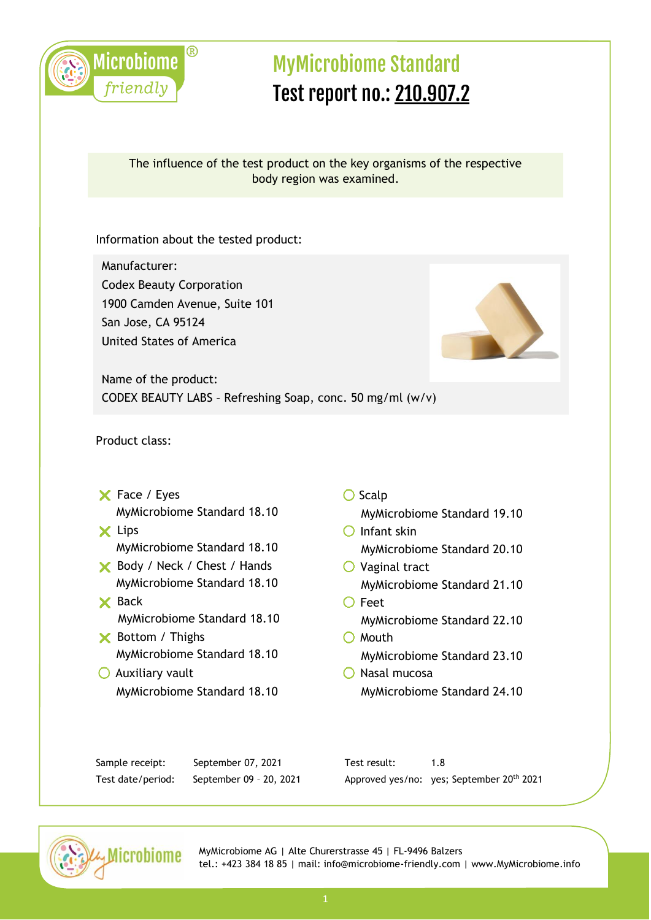

#### The influence of the test product on the key organisms of the respective body region was examined.

Information about the tested product:

Manufacturer: Codex Beauty Corporation 1900 Camden Avenue, Suite 101 San Jose, CA 95124 United States of America



Name of the product: CODEX BEAUTY LABS – Refreshing Soap, conc. 50 mg/ml (w/v)

Product class:

- X Face / Eyes MyMicrobiome Standard 18.10
- **X** Lips MyMicrobiome Standard 18.10
- Body / Neck / Chest / Hands MyMicrobiome Standard 18.10
- **X** Back MyMicrobiome Standard 18.10
- **X** Bottom / Thighs MyMicrobiome Standard 18.10
- $\bigcirc$  Auxiliary vault MyMicrobiome Standard 18.10
- $\bigcirc$  Scalp
	- MyMicrobiome Standard 19.10
- $O$  Infant skin MyMicrobiome Standard 20.10
- $\bigcirc$  Vaginal tract MyMicrobiome Standard 21.10
- O Feet MyMicrobiome Standard 22.10  $O$  Mouth
	- MyMicrobiome Standard 23.10
- O Nasal mucosa MyMicrobiome Standard 24.10

| Sample receipt:   | September 07, 2021      | Test result: |                                           |
|-------------------|-------------------------|--------------|-------------------------------------------|
| Test date/period: | September 09 - 20, 2021 |              | Approved yes/no: yes; September 20th 2021 |

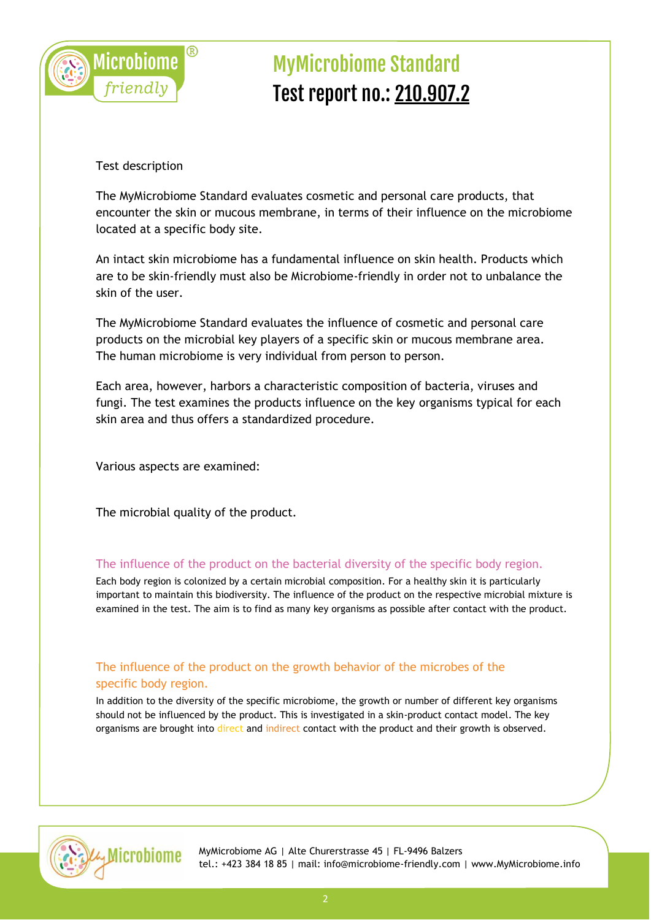

Test description

The MyMicrobiome Standard evaluates cosmetic and personal care products, that encounter the skin or mucous membrane, in terms of their influence on the microbiome located at a specific body site.

An intact skin microbiome has a fundamental influence on skin health. Products which are to be skin-friendly must also be Microbiome-friendly in order not to unbalance the skin of the user.

The MyMicrobiome Standard evaluates the influence of cosmetic and personal care products on the microbial key players of a specific skin or mucous membrane area. The human microbiome is very individual from person to person.

Each area, however, harbors a characteristic composition of bacteria, viruses and fungi. The test examines the products influence on the key organisms typical for each skin area and thus offers a standardized procedure.

Various aspects are examined:

The microbial quality of the product.

#### The influence of the product on the bacterial diversity of the specific body region.

Each body region is colonized by a certain microbial composition. For a healthy skin it is particularly important to maintain this biodiversity. The influence of the product on the respective microbial mixture is examined in the test. The aim is to find as many key organisms as possible after contact with the product.

### The influence of the product on the growth behavior of the microbes of the specific body region.

In addition to the diversity of the specific microbiome, the growth or number of different key organisms should not be influenced by the product. This is investigated in a skin-product contact model. The key organisms are brought into direct and indirect contact with the product and their growth is observed.

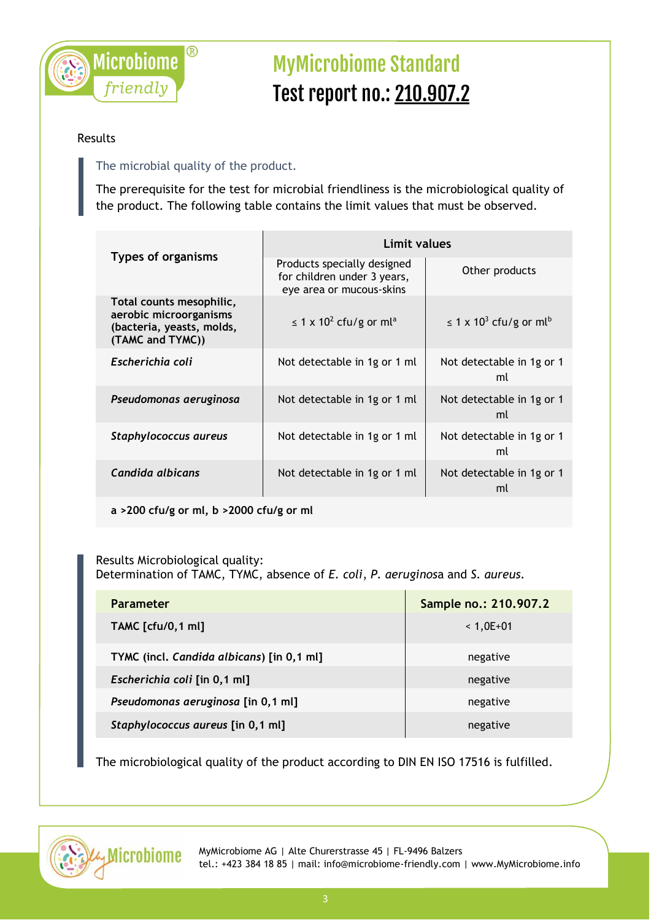

#### Results

## The microbial quality of the product.

The prerequisite for the test for microbial friendliness is the microbiological quality of the product. The following table contains the limit values that must be observed.

|                                                                                                     | Limit values                                                                           |                                                     |  |
|-----------------------------------------------------------------------------------------------------|----------------------------------------------------------------------------------------|-----------------------------------------------------|--|
| <b>Types of organisms</b>                                                                           | Products specially designed<br>for children under 3 years,<br>eye area or mucous-skins | Other products                                      |  |
| Total counts mesophilic,<br>aerobic microorganisms<br>(bacteria, yeasts, molds,<br>(TAMC and TYMC)) | $\leq$ 1 x 10 <sup>2</sup> cfu/g or ml <sup>a</sup>                                    | $\leq$ 1 x 10 <sup>3</sup> cfu/g or ml <sup>b</sup> |  |
| Escherichia coli                                                                                    | Not detectable in 1g or 1 ml                                                           | Not detectable in 1g or 1<br>ml                     |  |
| Pseudomonas aeruginosa                                                                              | Not detectable in 1g or 1 ml                                                           | Not detectable in 1g or 1<br>ml                     |  |
| Staphylococcus aureus                                                                               | Not detectable in 1g or 1 ml                                                           | Not detectable in 1g or 1<br>ml                     |  |
| Candida albicans                                                                                    | Not detectable in 1g or 1 ml                                                           | Not detectable in 1g or 1<br>ml                     |  |

**a >200 cfu/g or ml, b >2000 cfu/g or ml**

#### Results Microbiological quality: Determination of TAMC, TYMC, absence of *E. coli*, *P. aeruginos*a and *S. aureus.*

| <b>Parameter</b>                          | Sample no.: 210.907.2 |
|-------------------------------------------|-----------------------|
| <b>TAMC</b> [cfu/0,1 ml]                  | $< 1,0E+01$           |
| TYMC (incl. Candida albicans) [in 0,1 ml] | negative              |
| Escherichia coli [in 0,1 ml]              | negative              |
| Pseudomonas aeruginosa [in 0,1 ml]        | negative              |
| Staphylococcus aureus [in 0,1 ml]         | negative              |

The microbiological quality of the product according to DIN EN ISO 17516 is fulfilled.

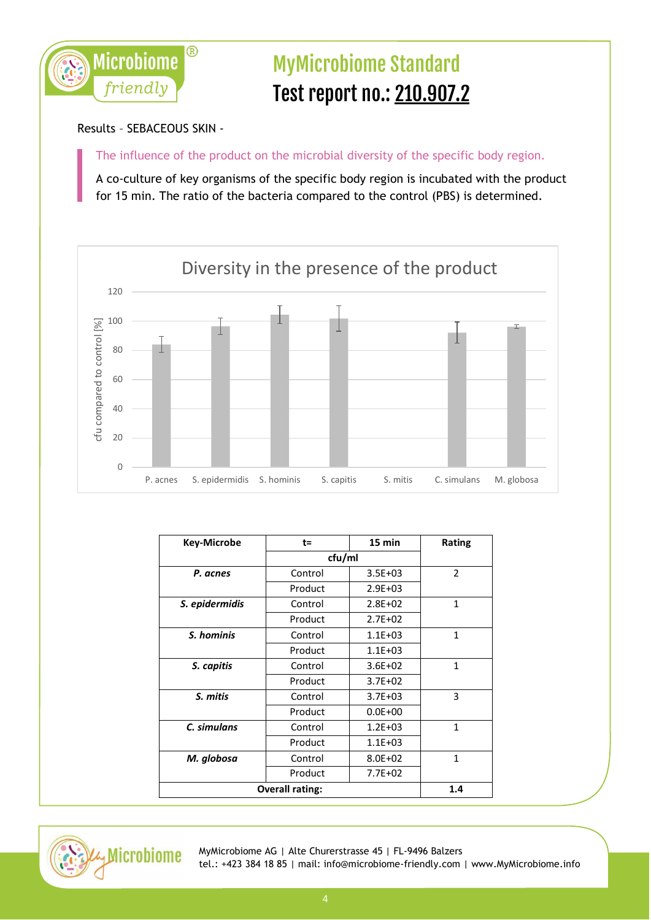

Results – SEBACEOUS SKIN -

The influence of the product on the microbial diversity of the specific body region.

A co-culture of key organisms of the specific body region is incubated with the product for 15 min. The ratio of the bacteria compared to the control (PBS) is determined.



| <b>Key-Microbe</b> | t=                     | $15$ min    | <b>Rating</b>  |
|--------------------|------------------------|-------------|----------------|
|                    |                        | cfu/ml      |                |
| P. acnes           | Control                | $3.5E + 03$ | $\mathfrak{p}$ |
|                    | Product                | $2.9E + 03$ |                |
| S. epidermidis     | Control                | $2.8E + 02$ | 1              |
|                    | Product                | $2.7E + 02$ |                |
| S. hominis         | Control                | $1.1E + 03$ | 1              |
|                    | Product                | $1.1E + 03$ |                |
| S. capitis         | Control                | $3.6E + 02$ | 1              |
|                    | Product                | $3.7E + 02$ |                |
| S. mitis           | Control                | $3.7E + 03$ | 3              |
|                    | Product                | $0.0E + 00$ |                |
| C. simulans        | Control                | $1.2E + 03$ | $\mathbf{1}$   |
|                    | Product                | $1.1E + 03$ |                |
| M. globosa         | Control                | $8.0E + 02$ | 1              |
|                    | Product                | $7.7E + 02$ |                |
|                    | <b>Overall rating:</b> |             | 1.4            |

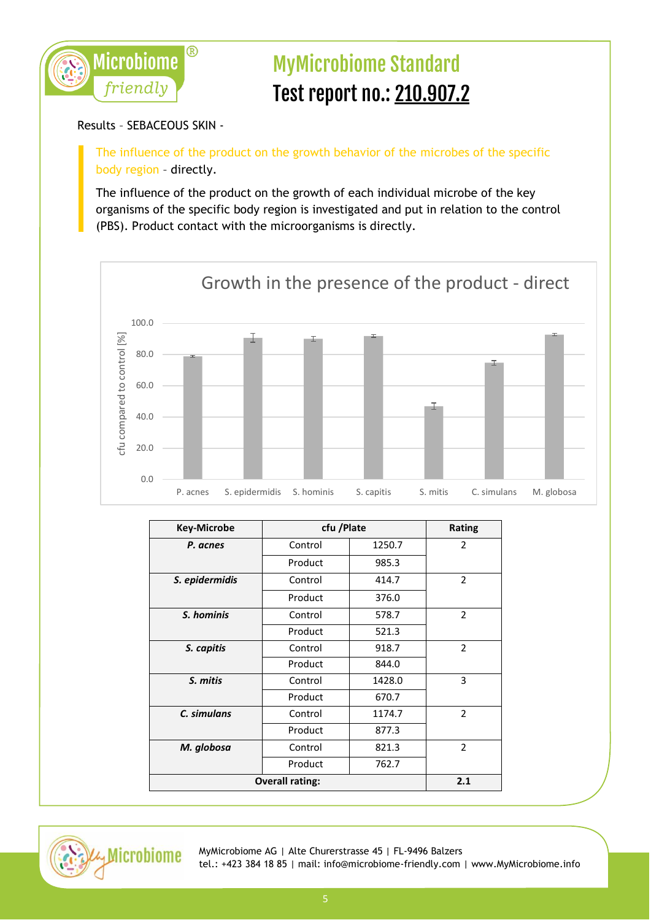

#### Results – SEBACEOUS SKIN -

The influence of the product on the growth behavior of the microbes of the specific body region – directly.

The influence of the product on the growth of each individual microbe of the key organisms of the specific body region is investigated and put in relation to the control (PBS). Product contact with the microorganisms is directly.



| <b>Key-Microbe</b> | cfu /Plate             |        | Rating         |
|--------------------|------------------------|--------|----------------|
| P. acnes           | Control                | 1250.7 | $\overline{2}$ |
|                    | Product                | 985.3  |                |
| S. epidermidis     | Control                | 414.7  | $\mathcal{P}$  |
|                    | Product                | 376.0  |                |
| S. hominis         | Control                | 578.7  | $\overline{2}$ |
|                    | Product                | 521.3  |                |
| S. capitis         | Control                | 918.7  | $\overline{2}$ |
|                    | Product                | 844.0  |                |
| S. mitis           | Control                | 1428.0 | 3              |
|                    | Product                | 670.7  |                |
| C. simulans        | Control                | 1174.7 | $\overline{2}$ |
|                    | Product                | 877.3  |                |
| M. globosa         | Control                | 821.3  | $\overline{2}$ |
|                    | Product                | 762.7  |                |
|                    | <b>Overall rating:</b> |        | 2.1            |
|                    |                        |        |                |

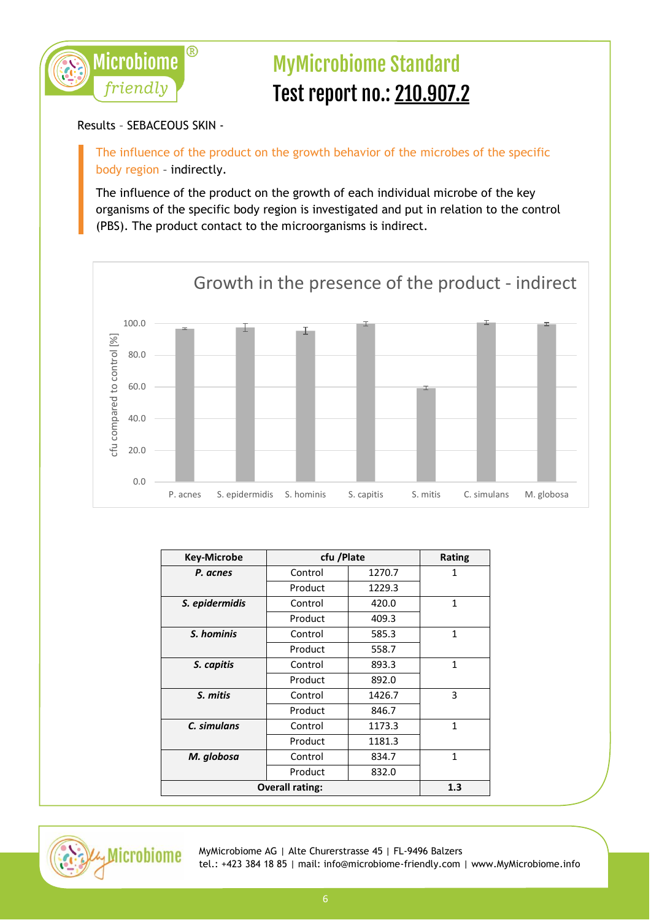

Results – SEBACEOUS SKIN -

The influence of the product on the growth behavior of the microbes of the specific body region – indirectly.

The influence of the product on the growth of each individual microbe of the key organisms of the specific body region is investigated and put in relation to the control (PBS). The product contact to the microorganisms is indirect.



| <b>Key-Microbe</b>            | cfu /Plate |        | Rating |
|-------------------------------|------------|--------|--------|
| P. acnes                      | Control    | 1270.7 | 1      |
|                               | Product    | 1229.3 |        |
| S. epidermidis                | Control    | 420.0  | 1      |
|                               | Product    | 409.3  |        |
| S. hominis                    | Control    | 585.3  | 1      |
|                               | Product    | 558.7  |        |
| S. capitis                    | Control    | 893.3  | 1      |
|                               | Product    | 892.0  |        |
| S. mitis                      | Control    | 1426.7 | 3      |
|                               | Product    | 846.7  |        |
| C. simulans                   | Control    | 1173.3 | 1      |
|                               | Product    | 1181.3 |        |
| M. globosa                    | Control    | 834.7  | 1      |
|                               | Product    | 832.0  |        |
| <b>Overall rating:</b><br>1.3 |            |        |        |

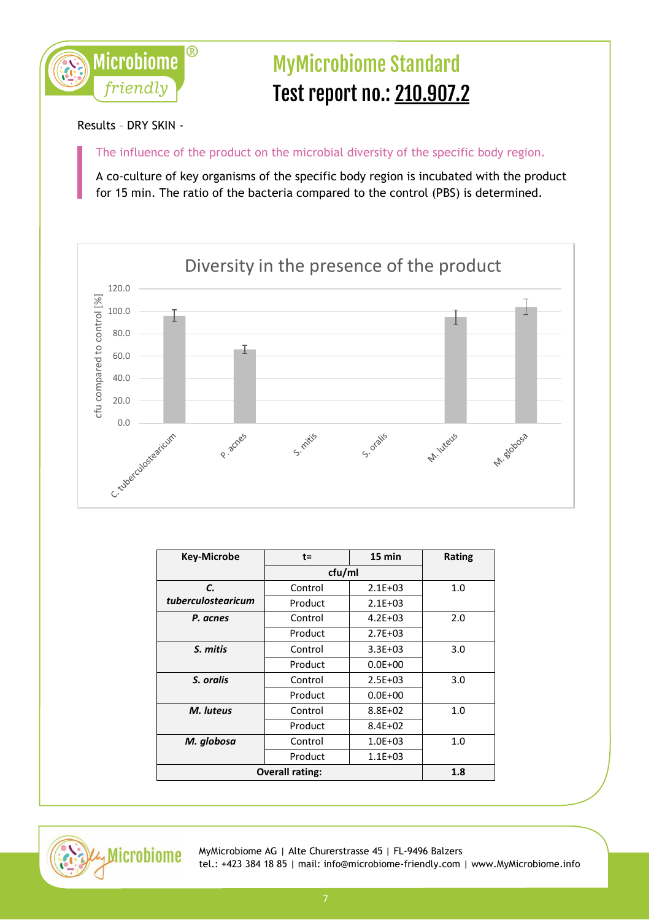

Results – DRY SKIN -

The influence of the product on the microbial diversity of the specific body region.

A co-culture of key organisms of the specific body region is incubated with the product for 15 min. The ratio of the bacteria compared to the control (PBS) is determined.



| <b>Key-Microbe</b>            | $t =$   | 15 min      | Rating |
|-------------------------------|---------|-------------|--------|
|                               | cfu/ml  |             |        |
| C.                            | Control | $2.1E + 03$ | 1.0    |
| tuberculostearicum            | Product | $2.1E + 03$ |        |
| P. acnes                      | Control | $4.2E + 03$ | 2.0    |
|                               | Product | $2.7E + 03$ |        |
| S. mitis                      | Control | $3.3E + 03$ | 3.0    |
|                               | Product | $0.0E + 00$ |        |
| S. oralis                     | Control | $2.5E + 03$ | 3.0    |
|                               | Product | $0.0E + 00$ |        |
| M. luteus                     | Control | $8.8E + 02$ | 1.0    |
|                               | Product | $8.4E + 02$ |        |
| M. globosa                    | Control | $1.0E + 03$ | 1.0    |
|                               | Product | $1.1E + 03$ |        |
| <b>Overall rating:</b><br>1.8 |         |             |        |

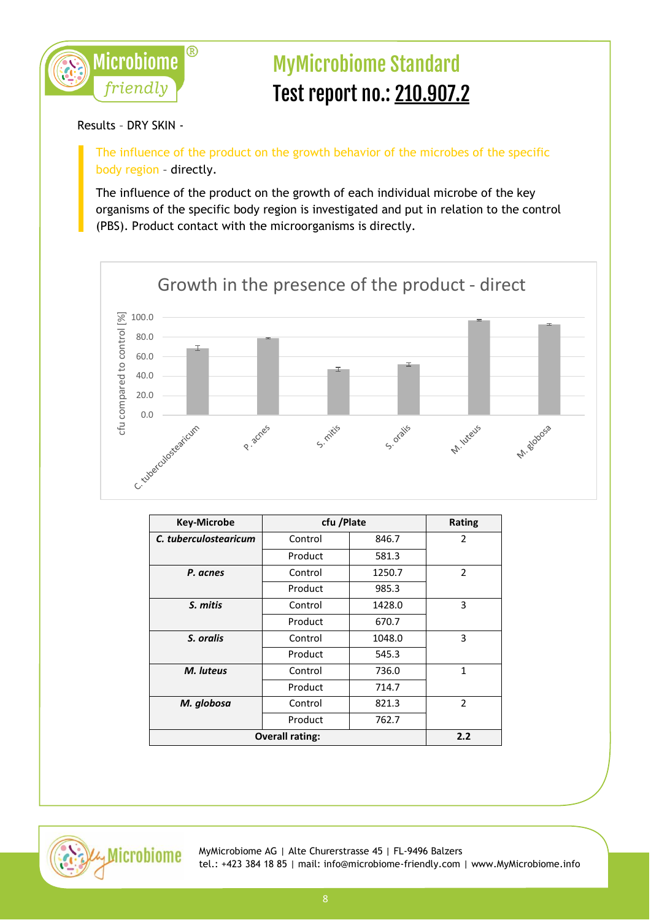

Results – DRY SKIN -

The influence of the product on the growth behavior of the microbes of the specific body region – directly.

The influence of the product on the growth of each individual microbe of the key organisms of the specific body region is investigated and put in relation to the control (PBS). Product contact with the microorganisms is directly.



| <b>Key-Microbe</b>     | cfu /Plate |        | <b>Rating</b>  |
|------------------------|------------|--------|----------------|
| C. tuberculostearicum  | Control    | 846.7  | $\overline{2}$ |
|                        | Product    | 581.3  |                |
| P. acnes               | Control    | 1250.7 | $\overline{2}$ |
|                        | Product    | 985.3  |                |
| S. mitis               | Control    | 1428.0 | 3              |
|                        | Product    | 670.7  |                |
| S. oralis              | Control    | 1048.0 | 3              |
|                        | Product    | 545.3  |                |
| M. luteus              | Control    | 736.0  | 1              |
|                        | Product    | 714.7  |                |
| M. globosa             | Control    | 821.3  | $\mathfrak{p}$ |
|                        | Product    | 762.7  |                |
| <b>Overall rating:</b> |            | 2.2    |                |

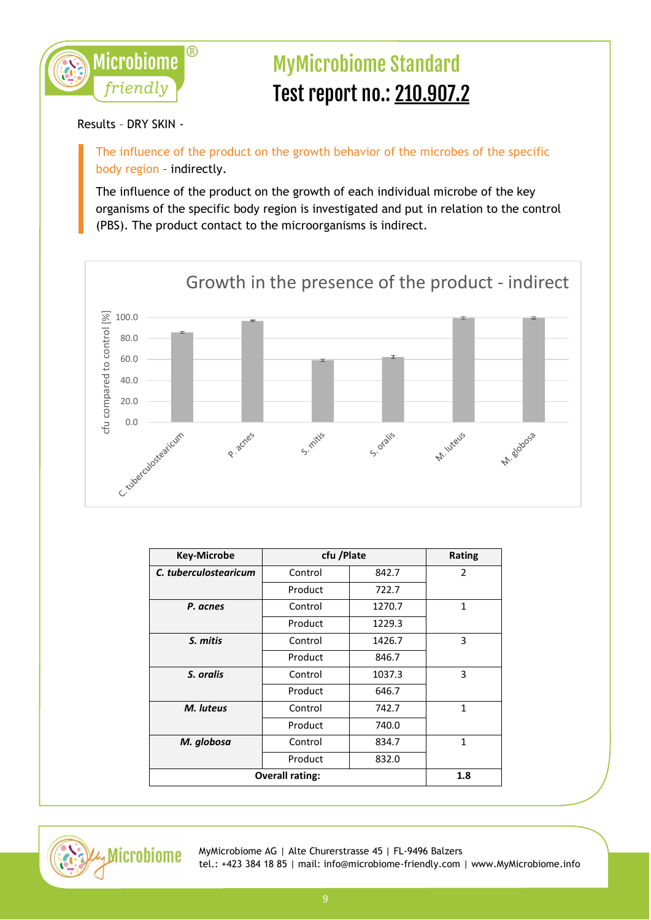

Results – DRY SKIN -

The influence of the product on the growth behavior of the microbes of the specific body region – indirectly.

The influence of the product on the growth of each individual microbe of the key organisms of the specific body region is investigated and put in relation to the control (PBS). The product contact to the microorganisms is indirect.



| <b>Key-Microbe</b>     | cfu /Plate |        | <b>Rating</b> |
|------------------------|------------|--------|---------------|
| C. tuberculostearicum  | Control    | 842.7  | 2             |
|                        | Product    | 722.7  |               |
| P. acnes               | Control    | 1270.7 | $\mathbf{1}$  |
|                        | Product    | 1229.3 |               |
| S. mitis               | Control    | 1426.7 | 3             |
|                        | Product    | 846.7  |               |
| S. oralis              | Control    | 1037.3 | 3             |
|                        | Product    | 646.7  |               |
| M. luteus              | Control    | 742.7  | $\mathbf{1}$  |
|                        | Product    | 740.0  |               |
| M. globosa             | Control    | 834.7  | $\mathbf{1}$  |
|                        | Product    | 832.0  |               |
| <b>Overall rating:</b> |            | 1.8    |               |